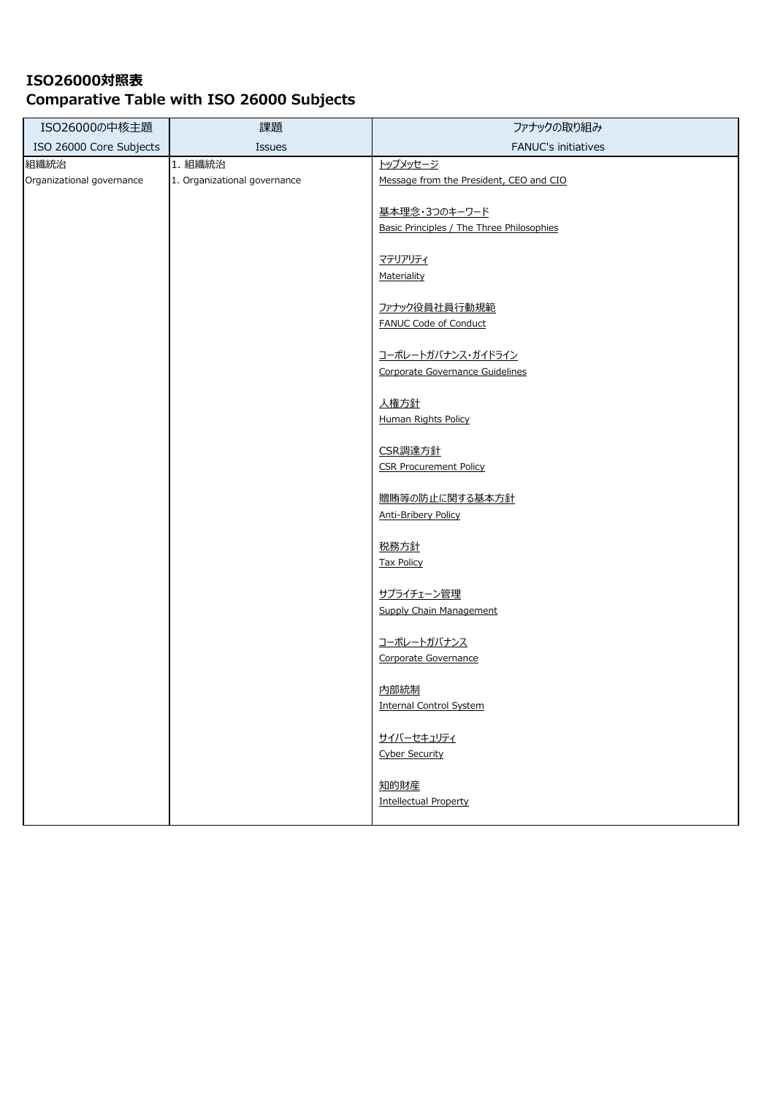| ISO26000の中核主題             | 課題                           | ファナックの取り組み                                   |
|---------------------------|------------------------------|----------------------------------------------|
| ISO 26000 Core Subjects   | Issues                       | FANUC's initiatives                          |
| 組織統治                      | 1. 組織統治                      | トップメッセージ                                     |
| Organizational governance | 1. Organizational governance | Message from the President, CEO and CIO      |
|                           |                              |                                              |
|                           |                              | 基本理念・3つのキーワード                                |
|                           |                              | Basic Principles / The Three Philosophies    |
|                           |                              | マテリアリティ                                      |
|                           |                              | Materiality                                  |
|                           |                              |                                              |
|                           |                              | ファナック役員社員行動規範                                |
|                           |                              | FANUC Code of Conduct                        |
|                           |                              |                                              |
|                           |                              | コーポレートガバナンス・ガイドライン                           |
|                           |                              | Corporate Governance Guidelines              |
|                           |                              | 人権方針                                         |
|                           |                              | <b>Human Rights Policy</b>                   |
|                           |                              |                                              |
|                           |                              | CSR調達方針                                      |
|                           |                              | <b>CSR Procurement Policy</b>                |
|                           |                              |                                              |
|                           |                              | 贈賄等の防止に関する基本方針<br><b>Anti-Bribery Policy</b> |
|                           |                              |                                              |
|                           |                              | 税務方針                                         |
|                           |                              | <b>Tax Policy</b>                            |
|                           |                              |                                              |
|                           |                              | サプライチェーン管理                                   |
|                           |                              | <b>Supply Chain Management</b>               |
|                           |                              | コーポレートガバナンス                                  |
|                           |                              | Corporate Governance                         |
|                           |                              |                                              |
|                           |                              | 内部統制                                         |
|                           |                              | <b>Internal Control System</b>               |
|                           |                              |                                              |
|                           |                              | サイバーセキュリティ                                   |
|                           |                              | <b>Cyber Security</b>                        |
|                           |                              | 知的財産                                         |
|                           |                              | <b>Intellectual Property</b>                 |
|                           |                              |                                              |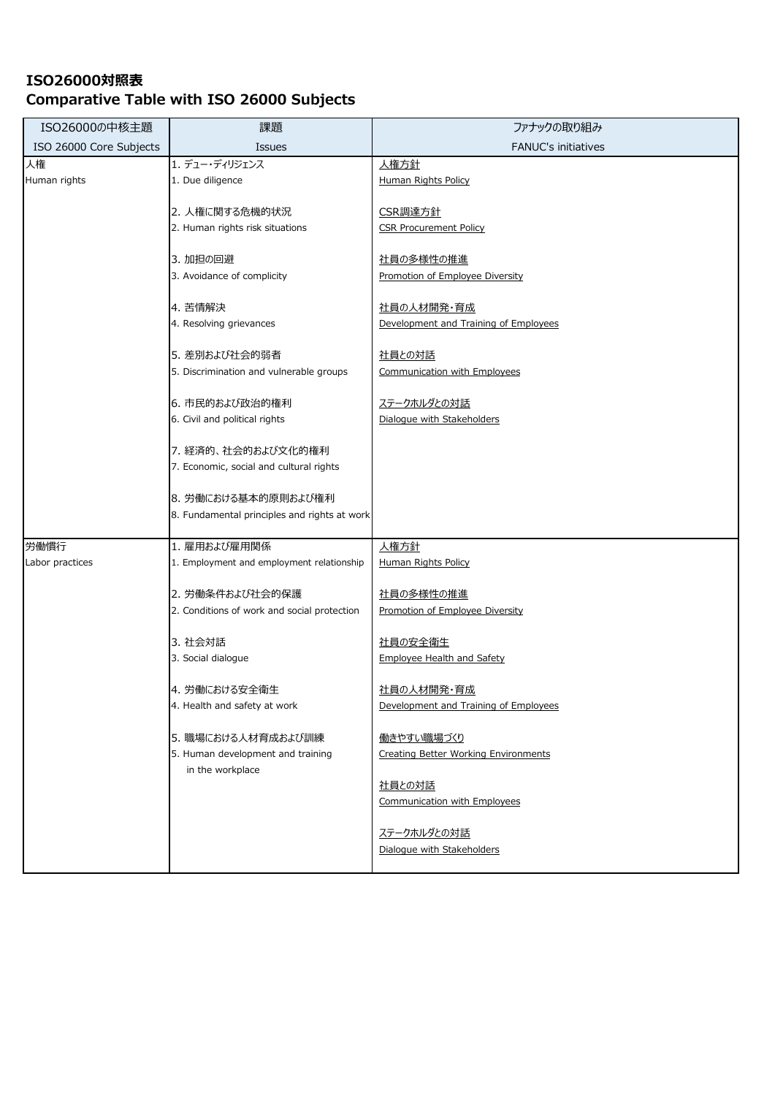| ISO26000の中核主題           | 課題                                           | ファナックの取り組み                                  |
|-------------------------|----------------------------------------------|---------------------------------------------|
| ISO 26000 Core Subjects | <b>Issues</b>                                | <b>FANUC's initiatives</b>                  |
| 人権                      | 1. デュー・ディリジェンス                               | 人権方針                                        |
| Human rights            | 1. Due diligence                             | Human Rights Policy                         |
|                         | 2. 人権に関する危機的状況                               | CSR調達方針                                     |
|                         | 2. Human rights risk situations              | <b>CSR Procurement Policy</b>               |
|                         |                                              |                                             |
|                         | 3. 加担の回避                                     | 社員の多様性の推進                                   |
|                         | 3. Avoidance of complicity                   | Promotion of Employee Diversity             |
|                         | 4. 苦情解決                                      | 社員の人材開発・育成                                  |
|                         | 4. Resolving grievances                      | Development and Training of Employees       |
|                         |                                              |                                             |
|                         | 5. 差別および社会的弱者                                | 社員との対話                                      |
|                         | 5. Discrimination and vulnerable groups      | <b>Communication with Employees</b>         |
|                         | 6. 市民的および政治的権利                               | ステークホルダとの対話                                 |
|                         | 6. Civil and political rights                | Dialogue with Stakeholders                  |
|                         |                                              |                                             |
|                         | 7. 経済的、社会的および文化的権利                           |                                             |
|                         | 7. Economic, social and cultural rights      |                                             |
|                         | 8. 労働における基本的原則および権利                          |                                             |
|                         | 8. Fundamental principles and rights at work |                                             |
|                         |                                              |                                             |
| 労働慣行                    | 1. 雇用および雇用関係                                 | 人権方針                                        |
| Labor practices         | 1. Employment and employment relationship    | <b>Human Rights Policy</b>                  |
|                         | 2. 労働条件および社会的保護                              | 社員の多様性の推進                                   |
|                         | 2. Conditions of work and social protection  | Promotion of Employee Diversity             |
|                         | 3. 社会対話                                      | 社員の安全衛生                                     |
|                         | 3. Social dialogue                           | <b>Employee Health and Safety</b>           |
|                         |                                              |                                             |
|                         | 4. 労働における安全衛生                                | 社員の人材開発・育成                                  |
|                         | 4. Health and safety at work                 | Development and Training of Employees       |
|                         | 5. 職場における人材育成および訓練                           | 働きやすい職場づくり                                  |
|                         | 5. Human development and training            | <b>Creating Better Working Environments</b> |
|                         | in the workplace                             |                                             |
|                         |                                              | 社員との対話                                      |
|                         |                                              | Communication with Employees                |
|                         |                                              | ステークホルダとの対話                                 |
|                         |                                              | Dialogue with Stakeholders                  |
|                         |                                              |                                             |
|                         |                                              |                                             |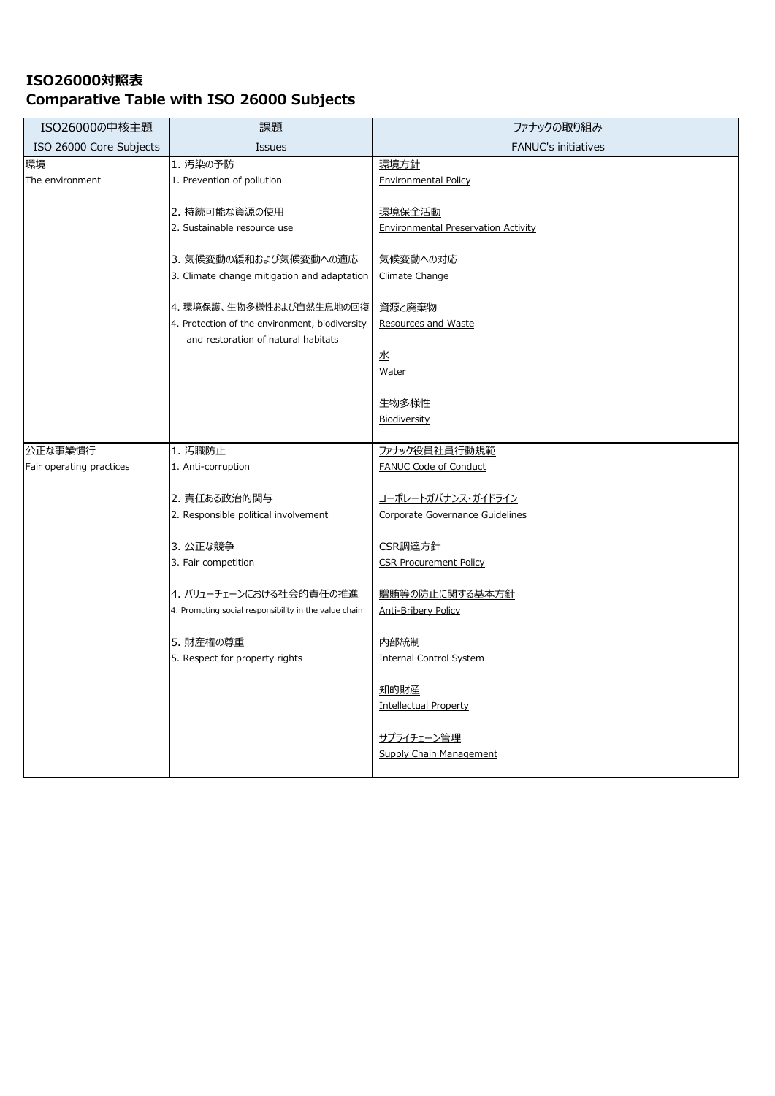| ISO26000の中核主題            | 課題                                                                         | ファナックの取り組み                                            |
|--------------------------|----------------------------------------------------------------------------|-------------------------------------------------------|
| ISO 26000 Core Subjects  | Issues                                                                     | <b>FANUC's initiatives</b>                            |
| 環境                       | 1. 汚染の予防                                                                   | 環境方針                                                  |
| The environment          | 1. Prevention of pollution                                                 | <b>Environmental Policy</b>                           |
|                          | 2. 持続可能な資源の使用                                                              | 環境保全活動                                                |
|                          | 2. Sustainable resource use                                                | Environmental Preservation Activity                   |
|                          |                                                                            |                                                       |
|                          | 3. 気候変動の緩和および気候変動への適応                                                      | 気候変動への対応                                              |
|                          | 3. Climate change mitigation and adaptation                                | Climate Change                                        |
|                          |                                                                            |                                                       |
|                          | 4. 環境保護、生物多様性および自然生息地の回復<br>4. Protection of the environment, biodiversity | 資源と廃棄物<br>Resources and Waste                         |
|                          | and restoration of natural habitats                                        |                                                       |
|                          |                                                                            | 水                                                     |
|                          |                                                                            | Water                                                 |
|                          |                                                                            |                                                       |
|                          |                                                                            | 生物多様性                                                 |
|                          |                                                                            | Biodiversity                                          |
| 公正な事業慣行                  | 1. 汚職防止                                                                    | ファナック役員社員行動規範                                         |
| Fair operating practices | 1. Anti-corruption                                                         | FANUC Code of Conduct                                 |
|                          |                                                                            |                                                       |
|                          | 2. 責任ある政治的関与<br>2. Responsible political involvement                       | コーポレートガバナンス・ガイドライン<br>Corporate Governance Guidelines |
|                          |                                                                            |                                                       |
|                          | 3. 公正な競争                                                                   | CSR調達方針                                               |
|                          | 3. Fair competition                                                        | <b>CSR Procurement Policy</b>                         |
|                          |                                                                            |                                                       |
|                          | 4. バリューチェーンにおける社会的責任の推進                                                    | 贈賄等の防止に関する基本方針                                        |
|                          | 4. Promoting social responsibility in the value chain                      | <b>Anti-Bribery Policy</b>                            |
|                          | 5. 財産権の尊重                                                                  | 内部統制                                                  |
|                          | 5. Respect for property rights                                             | <b>Internal Control System</b>                        |
|                          |                                                                            |                                                       |
|                          |                                                                            | <u>知的財産</u>                                           |
|                          |                                                                            | <b>Intellectual Property</b>                          |
|                          |                                                                            | <u> サプライチェーン管理</u>                                    |
|                          |                                                                            | Supply Chain Management                               |
|                          |                                                                            |                                                       |